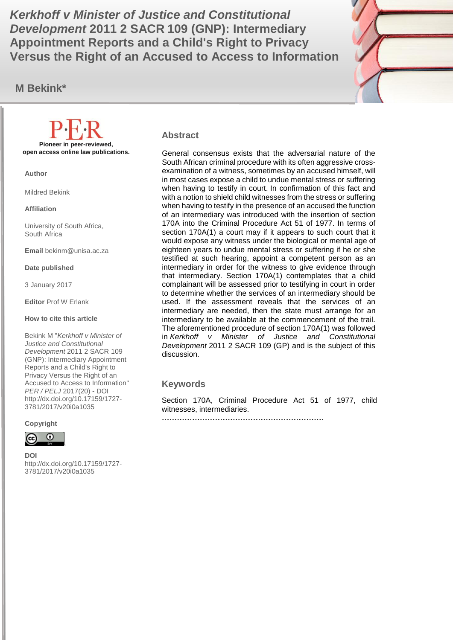**Development 2011 2 SACR 109 (GNP): Intermediary and allegent**  $\mathbb{Z}$ *Kerkhoff v Minister of Justice and Constitutional*  **Appointment Reports and a Child's Right to Privacy Versus the Right of an Accused to Access to Information**

**M Bekink\***



#### **Abstract**

General consensus exists that the adversarial nature of the South African criminal procedure with its often aggressive crossexamination of a witness, sometimes by an accused himself, will in most cases expose a child to undue mental stress or suffering when having to testify in court. In confirmation of this fact and with a notion to shield child witnesses from the stress or suffering when having to testify in the presence of an accused the function of an intermediary was introduced with the insertion of section 170A into the Criminal Procedure Act 51 of 1977. In terms of section 170A(1) a court may if it appears to such court that it would expose any witness under the biological or mental age of eighteen years to undue mental stress or suffering if he or she testified at such hearing, appoint a competent person as an intermediary in order for the witness to give evidence through that intermediary. Section 170A(1) contemplates that a child complainant will be assessed prior to testifying in court in order to determine whether the services of an intermediary should be used. If the assessment reveals that the services of an intermediary are needed, then the state must arrange for an intermediary to be available at the commencement of the trail. The aforementioned procedure of section 170A(1) was followed in *Kerkhoff v Minister of Justice and Constitutional Development* 2011 2 SACR 109 (GP) and is the subject of this discussion.

#### **Keywords**

Section 170A, Criminal Procedure Act 51 of 1977, child witnesses, intermediaries.

**……………………………………………………….**

**Pioneer in peer-reviewed, open access online law publications.**

**Author**

Mildred Bekink

**Affiliation**

University of South Africa, South Africa

**Email** bekinm@unisa.ac.za

**Date published**

3 January 2017

**Editor** Prof W Erlank

**How to cite this article** 

Bekink M "*Kerkhoff v Minister of Justice and Constitutional Development* 2011 2 SACR 109 (GNP): Intermediary Appointment Reports and a Child's Right to Privacy Versus the Right of an Accused to Access to Information" *PER / PELJ* 2017(20) - DOI http://dx.doi.org/10.17159/1727- 3781/2017/v20i0a[1035](http://journals.assaf.org.za/index.php/per/editor/submission/1160) 

**Copyright**



**DOI**  http://dx.doi.org/10.17159/1727- 3781/2017/v20i0a[1035](http://journals.assaf.org.za/index.php/per/editor/submission/1160)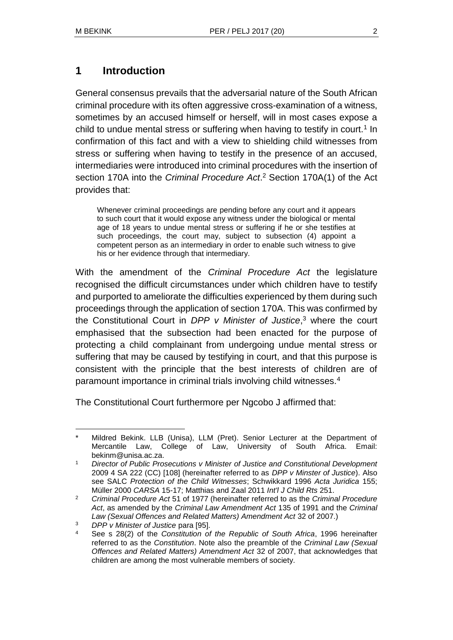### **1 Introduction**

General consensus prevails that the adversarial nature of the South African criminal procedure with its often aggressive cross-examination of a witness, sometimes by an accused himself or herself, will in most cases expose a child to undue mental stress or suffering when having to testify in court.<sup>1</sup> In confirmation of this fact and with a view to shielding child witnesses from stress or suffering when having to testify in the presence of an accused, intermediaries were introduced into criminal procedures with the insertion of section 170A into the *Criminal Procedure Act*. <sup>2</sup> Section 170A(1) of the Act provides that:

Whenever criminal proceedings are pending before any court and it appears to such court that it would expose any witness under the biological or mental age of 18 years to undue mental stress or suffering if he or she testifies at such proceedings, the court may, subject to subsection (4) appoint a competent person as an intermediary in order to enable such witness to give his or her evidence through that intermediary.

With the amendment of the *Criminal Procedure Act* the legislature recognised the difficult circumstances under which children have to testify and purported to ameliorate the difficulties experienced by them during such proceedings through the application of section 170A. This was confirmed by the Constitutional Court in *DPP v Minister of Justice*, <sup>3</sup> where the court emphasised that the subsection had been enacted for the purpose of protecting a child complainant from undergoing undue mental stress or suffering that may be caused by testifying in court, and that this purpose is consistent with the principle that the best interests of children are of paramount importance in criminal trials involving child witnesses.<sup>4</sup>

The Constitutional Court furthermore per Ngcobo J affirmed that:

l Mildred Bekink. LLB (Unisa), LLM (Pret). Senior Lecturer at the Department of Mercantile Law, College of Law, University of South Africa. Email: bekinm@unisa.ac.za.

<sup>1</sup> *Director of Public Prosecutions v Minister of Justice and Constitutional Development* 2009 4 SA 222 (CC) [108] (hereinafter referred to as *DPP v Minster of Justice*). Also see SALC *Protection of the Child Witnesses*; Schwikkard 1996 *Acta Juridica* 155; Müller 2000 *CARSA* 15-17; Matthias and Zaal 2011 *Int'l J Child Rts* 251.

<sup>2</sup> *Criminal Procedure Act* 51 of 1977 (hereinafter referred to as the *Criminal Procedure Act*, as amended by the *Criminal Law Amendment Act* 135 of 1991 and the *Criminal Law (Sexual Offences and Related Matters) Amendment Act* 32 of 2007.)

<sup>3</sup> *DPP v Minister of Justice* para [95].

<sup>4</sup> See s 28(2) of the *Constitution of the Republic of South Africa*, 1996 hereinafter referred to as the *Constitution*. Note also the preamble of the *Criminal Law (Sexual Offences and Related Matters) Amendment Act* 32 of 2007, that acknowledges that children are among the most vulnerable members of society.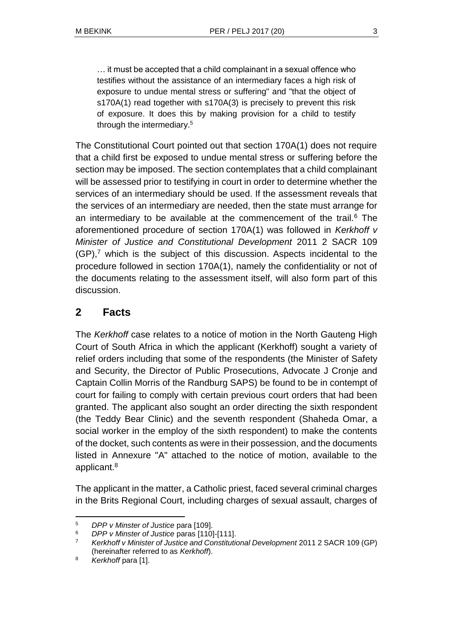… it must be accepted that a child complainant in a sexual offence who testifies without the assistance of an intermediary faces a high risk of exposure to undue mental stress or suffering" and "that the object of s170A(1) read together with s170A(3) is precisely to prevent this risk of exposure. It does this by making provision for a child to testify through the intermediary.<sup>5</sup>

The Constitutional Court pointed out that section 170A(1) does not require that a child first be exposed to undue mental stress or suffering before the section may be imposed. The section contemplates that a child complainant will be assessed prior to testifying in court in order to determine whether the services of an intermediary should be used. If the assessment reveals that the services of an intermediary are needed, then the state must arrange for an intermediary to be available at the commencement of the trail.<sup>6</sup> The aforementioned procedure of section 170A(1) was followed in *Kerkhoff v Minister of Justice and Constitutional Development* 2011 2 SACR 109  $(GP)$ ,<sup>7</sup> which is the subject of this discussion. Aspects incidental to the procedure followed in section 170A(1), namely the confidentiality or not of the documents relating to the assessment itself, will also form part of this discussion.

## **2 Facts**

The *Kerkhoff* case relates to a notice of motion in the North Gauteng High Court of South Africa in which the applicant (Kerkhoff) sought a variety of relief orders including that some of the respondents (the Minister of Safety and Security, the Director of Public Prosecutions, Advocate J Cronje and Captain Collin Morris of the Randburg SAPS) be found to be in contempt of court for failing to comply with certain previous court orders that had been granted. The applicant also sought an order directing the sixth respondent (the Teddy Bear Clinic) and the seventh respondent (Shaheda Omar, a social worker in the employ of the sixth respondent) to make the contents of the docket, such contents as were in their possession, and the documents listed in Annexure "A" attached to the notice of motion, available to the applicant.<sup>8</sup>

The applicant in the matter, a Catholic priest, faced several criminal charges in the Brits Regional Court, including charges of sexual assault, charges of

l <sup>5</sup> *DPP v Minster of Justice* para [109].

<sup>6</sup> *DPP v Minster of Justice* paras [110]-[111].

<sup>7</sup> *Kerkhoff v Minister of Justice and Constitutional Development* 2011 2 SACR 109 (GP) (hereinafter referred to as *Kerkhoff*).

<sup>&</sup>lt;sup>8</sup> Kerkhoff para [1].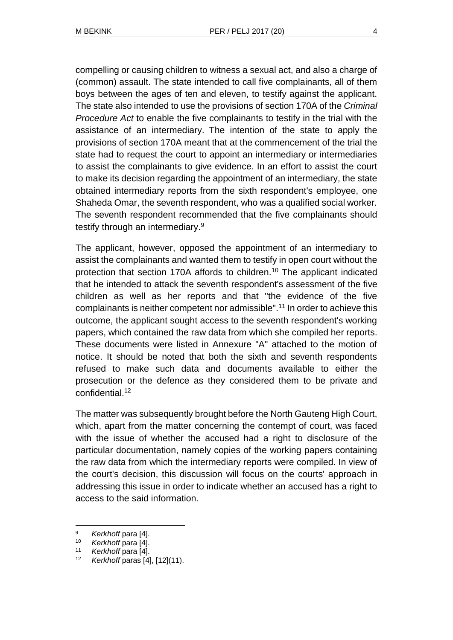compelling or causing children to witness a sexual act, and also a charge of (common) assault. The state intended to call five complainants, all of them boys between the ages of ten and eleven, to testify against the applicant. The state also intended to use the provisions of section 170A of the *Criminal Procedure Act* to enable the five complainants to testify in the trial with the assistance of an intermediary. The intention of the state to apply the provisions of section 170A meant that at the commencement of the trial the state had to request the court to appoint an intermediary or intermediaries to assist the complainants to give evidence. In an effort to assist the court to make its decision regarding the appointment of an intermediary, the state obtained intermediary reports from the sixth respondent's employee, one Shaheda Omar, the seventh respondent, who was a qualified social worker. The seventh respondent recommended that the five complainants should testify through an intermediary.<sup>9</sup>

The applicant, however, opposed the appointment of an intermediary to assist the complainants and wanted them to testify in open court without the protection that section 170A affords to children.<sup>10</sup> The applicant indicated that he intended to attack the seventh respondent's assessment of the five children as well as her reports and that "the evidence of the five complainants is neither competent nor admissible".<sup>11</sup> In order to achieve this outcome, the applicant sought access to the seventh respondent's working papers, which contained the raw data from which she compiled her reports. These documents were listed in Annexure "A" attached to the motion of notice. It should be noted that both the sixth and seventh respondents refused to make such data and documents available to either the prosecution or the defence as they considered them to be private and confidential.<sup>12</sup>

The matter was subsequently brought before the North Gauteng High Court, which, apart from the matter concerning the contempt of court, was faced with the issue of whether the accused had a right to disclosure of the particular documentation, namely copies of the working papers containing the raw data from which the intermediary reports were compiled. In view of the court's decision, this discussion will focus on the courts' approach in addressing this issue in order to indicate whether an accused has a right to access to the said information.

<sup>9</sup> *Kerkhoff* para [4].

<sup>10</sup> *Kerkhoff* para [4].

<sup>11</sup> *Kerkhoff* para [4].

<sup>12</sup> *Kerkhoff* paras [4], [12](11).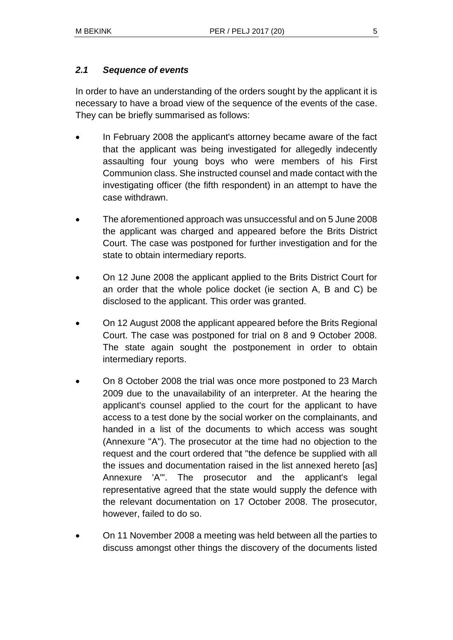#### *2.1 Sequence of events*

In order to have an understanding of the orders sought by the applicant it is necessary to have a broad view of the sequence of the events of the case. They can be briefly summarised as follows:

- In February 2008 the applicant's attorney became aware of the fact that the applicant was being investigated for allegedly indecently assaulting four young boys who were members of his First Communion class. She instructed counsel and made contact with the investigating officer (the fifth respondent) in an attempt to have the case withdrawn.
- The aforementioned approach was unsuccessful and on 5 June 2008 the applicant was charged and appeared before the Brits District Court. The case was postponed for further investigation and for the state to obtain intermediary reports.
- On 12 June 2008 the applicant applied to the Brits District Court for an order that the whole police docket (ie section A, B and C) be disclosed to the applicant. This order was granted.
- On 12 August 2008 the applicant appeared before the Brits Regional Court. The case was postponed for trial on 8 and 9 October 2008. The state again sought the postponement in order to obtain intermediary reports.
- On 8 October 2008 the trial was once more postponed to 23 March 2009 due to the unavailability of an interpreter. At the hearing the applicant's counsel applied to the court for the applicant to have access to a test done by the social worker on the complainants, and handed in a list of the documents to which access was sought (Annexure "A"). The prosecutor at the time had no objection to the request and the court ordered that "the defence be supplied with all the issues and documentation raised in the list annexed hereto [as] Annexure 'A'". The prosecutor and the applicant's legal representative agreed that the state would supply the defence with the relevant documentation on 17 October 2008. The prosecutor, however, failed to do so.
- On 11 November 2008 a meeting was held between all the parties to discuss amongst other things the discovery of the documents listed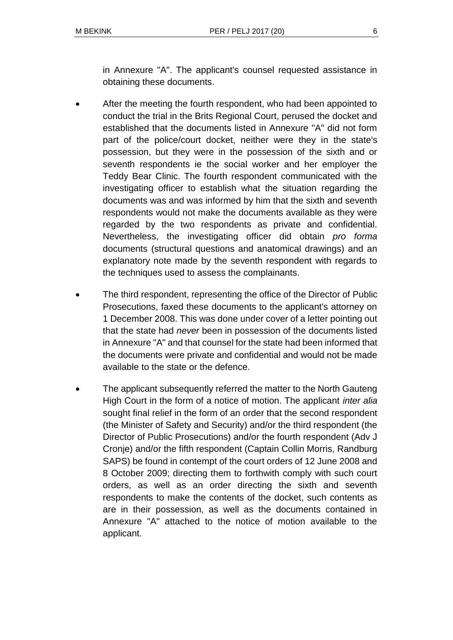in Annexure "A". The applicant's counsel requested assistance in obtaining these documents.

- After the meeting the fourth respondent, who had been appointed to conduct the trial in the Brits Regional Court, perused the docket and established that the documents listed in Annexure "A" did not form part of the police/court docket, neither were they in the state's possession, but they were in the possession of the sixth and or seventh respondents ie the social worker and her employer the Teddy Bear Clinic. The fourth respondent communicated with the investigating officer to establish what the situation regarding the documents was and was informed by him that the sixth and seventh respondents would not make the documents available as they were regarded by the two respondents as private and confidential. Nevertheless, the investigating officer did obtain *pro forma* documents (structural questions and anatomical drawings) and an explanatory note made by the seventh respondent with regards to the techniques used to assess the complainants.
- The third respondent, representing the office of the Director of Public Prosecutions, faxed these documents to the applicant's attorney on 1 December 2008. This was done under cover of a letter pointing out that the state had *never* been in possession of the documents listed in Annexure "A" and that counsel for the state had been informed that the documents were private and confidential and would not be made available to the state or the defence.
- The applicant subsequently referred the matter to the North Gauteng High Court in the form of a notice of motion. The applicant *inter alia* sought final relief in the form of an order that the second respondent (the Minister of Safety and Security) and/or the third respondent (the Director of Public Prosecutions) and/or the fourth respondent (Adv J Cronje) and/or the fifth respondent (Captain Collin Morris, Randburg SAPS) be found in contempt of the court orders of 12 June 2008 and 8 October 2009; directing them to forthwith comply with such court orders, as well as an order directing the sixth and seventh respondents to make the contents of the docket, such contents as are in their possession, as well as the documents contained in Annexure "A" attached to the notice of motion available to the applicant.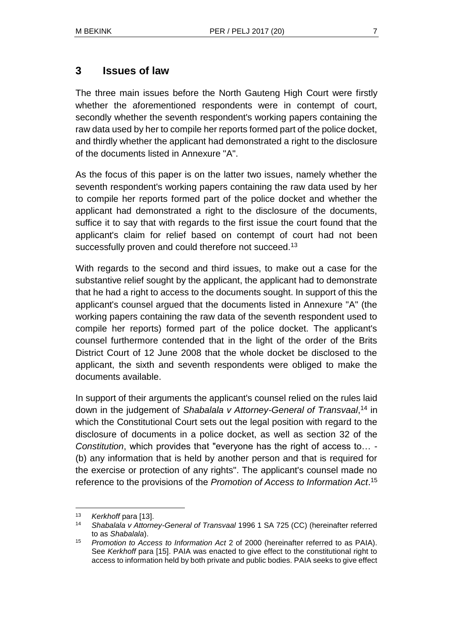### **3 Issues of law**

The three main issues before the North Gauteng High Court were firstly whether the aforementioned respondents were in contempt of court, secondly whether the seventh respondent's working papers containing the raw data used by her to compile her reports formed part of the police docket, and thirdly whether the applicant had demonstrated a right to the disclosure of the documents listed in Annexure "A".

As the focus of this paper is on the latter two issues, namely whether the seventh respondent's working papers containing the raw data used by her to compile her reports formed part of the police docket and whether the applicant had demonstrated a right to the disclosure of the documents, suffice it to say that with regards to the first issue the court found that the applicant's claim for relief based on contempt of court had not been successfully proven and could therefore not succeed.<sup>13</sup>

With regards to the second and third issues, to make out a case for the substantive relief sought by the applicant, the applicant had to demonstrate that he had a right to access to the documents sought. In support of this the applicant's counsel argued that the documents listed in Annexure "A" (the working papers containing the raw data of the seventh respondent used to compile her reports) formed part of the police docket. The applicant's counsel furthermore contended that in the light of the order of the Brits District Court of 12 June 2008 that the whole docket be disclosed to the applicant, the sixth and seventh respondents were obliged to make the documents available.

In support of their arguments the applicant's counsel relied on the rules laid down in the judgement of *Shabalala v Attorney-General of Transvaal*, <sup>14</sup> in which the Constitutional Court sets out the legal position with regard to the disclosure of documents in a police docket, as well as section 32 of the *Constitution*, which provides that "everyone has the right of access to… - (b) any information that is held by another person and that is required for the exercise or protection of any rights". The applicant's counsel made no reference to the provisions of the *Promotion of Access to Information Act*. 15

<sup>&</sup>lt;sup>13</sup> *Kerkhoff* para [13].

<sup>14</sup> *Shabalala v Attorney-General of Transvaal* 1996 1 SA 725 (CC) (hereinafter referred to as *Shabalala*).

<sup>15</sup> *Promotion to Access to Information Act* 2 of 2000 (hereinafter referred to as PAIA). See *Kerkhoff* para [15]. PAIA was enacted to give effect to the constitutional right to access to information held by both private and public bodies. PAIA seeks to give effect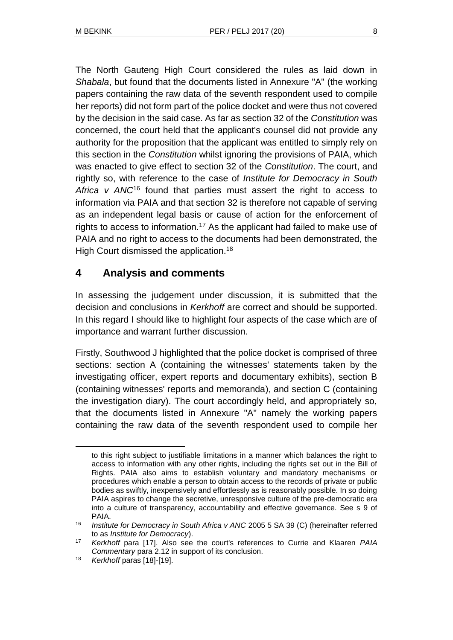The North Gauteng High Court considered the rules as laid down in *Shabala*, but found that the documents listed in Annexure "A" (the working papers containing the raw data of the seventh respondent used to compile her reports) did not form part of the police docket and were thus not covered by the decision in the said case. As far as section 32 of the *Constitution* was concerned, the court held that the applicant's counsel did not provide any authority for the proposition that the applicant was entitled to simply rely on this section in the *Constitution* whilst ignoring the provisions of PAIA, which was enacted to give effect to section 32 of the *Constitution*. The court, and rightly so, with reference to the case of *Institute for Democracy in South Africa v ANC*<sup>16</sup> found that parties must assert the right to access to information via PAIA and that section 32 is therefore not capable of serving as an independent legal basis or cause of action for the enforcement of rights to access to information.<sup>17</sup> As the applicant had failed to make use of PAIA and no right to access to the documents had been demonstrated, the High Court dismissed the application.<sup>18</sup>

## **4 Analysis and comments**

In assessing the judgement under discussion, it is submitted that the decision and conclusions in *Kerkhoff* are correct and should be supported. In this regard I should like to highlight four aspects of the case which are of importance and warrant further discussion.

Firstly, Southwood J highlighted that the police docket is comprised of three sections: section A (containing the witnesses' statements taken by the investigating officer, expert reports and documentary exhibits), section B (containing witnesses' reports and memoranda), and section C (containing the investigation diary). The court accordingly held, and appropriately so, that the documents listed in Annexure "A" namely the working papers containing the raw data of the seventh respondent used to compile her

to this right subject to justifiable limitations in a manner which balances the right to access to information with any other rights, including the rights set out in the Bill of Rights. PAIA also aims to establish voluntary and mandatory mechanisms or procedures which enable a person to obtain access to the records of private or public bodies as swiftly, inexpensively and effortlessly as is reasonably possible. In so doing PAIA aspires to change the secretive, unresponsive culture of the pre-democratic era into a culture of transparency, accountability and effective governance. See s 9 of PAIA.

<sup>16</sup> *Institute for Democracy in South Africa v ANC* 2005 5 SA 39 (C) (hereinafter referred to as *Institute for Democracy*).

<sup>17</sup> *Kerkhoff* para [17]. Also see the court's references to Currie and Klaaren *PAIA Commentary* para 2.12 in support of its conclusion.

<sup>18</sup> *Kerkhoff* paras [18]-[19].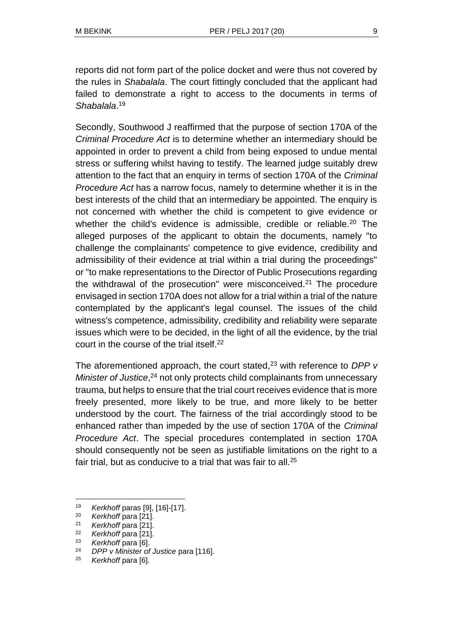reports did not form part of the police docket and were thus not covered by the rules in *Shabalala*. The court fittingly concluded that the applicant had failed to demonstrate a right to access to the documents in terms of *Shabalala*. 19

Secondly, Southwood J reaffirmed that the purpose of section 170A of the *Criminal Procedure Act* is to determine whether an intermediary should be appointed in order to prevent a child from being exposed to undue mental stress or suffering whilst having to testify. The learned judge suitably drew attention to the fact that an enquiry in terms of section 170A of the *Criminal Procedure Act* has a narrow focus, namely to determine whether it is in the best interests of the child that an intermediary be appointed. The enquiry is not concerned with whether the child is competent to give evidence or whether the child's evidence is admissible, credible or reliable.<sup>20</sup> The alleged purposes of the applicant to obtain the documents, namely "to challenge the complainants' competence to give evidence, credibility and admissibility of their evidence at trial within a trial during the proceedings" or "to make representations to the Director of Public Prosecutions regarding the withdrawal of the prosecution" were misconceived.<sup>21</sup> The procedure envisaged in section 170A does not allow for a trial within a trial of the nature contemplated by the applicant's legal counsel. The issues of the child witness's competence, admissibility, credibility and reliability were separate issues which were to be decided, in the light of all the evidence, by the trial court in the course of the trial itself.<sup>22</sup>

The aforementioned approach, the court stated,<sup>23</sup> with reference to *DPP v* Minister of Justice,<sup>24</sup> not only protects child complainants from unnecessary trauma, but helps to ensure that the trial court receives evidence that is more freely presented, more likely to be true, and more likely to be better understood by the court. The fairness of the trial accordingly stood to be enhanced rather than impeded by the use of section 170A of the *Criminal Procedure Act*. The special procedures contemplated in section 170A should consequently not be seen as justifiable limitations on the right to a fair trial, but as conducive to a trial that was fair to all.<sup>25</sup>

<sup>19</sup> *Kerkhoff* paras [9], [16]-[17].

<sup>20</sup> *Kerkhoff* para [21].

<sup>21</sup> *Kerkhoff* para [21].

<sup>22</sup> *Kerkhoff* para [21].

<sup>23</sup> *Kerkhoff* para [6].

<sup>24</sup> *DPP v Minister of Justice* para [116].

<sup>25</sup> *Kerkhoff* para [6].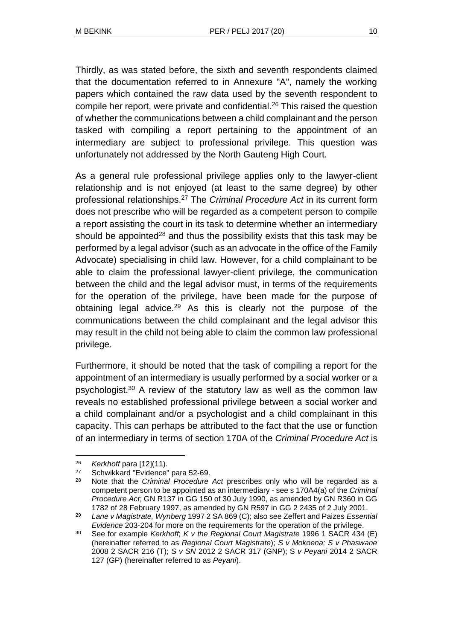Thirdly, as was stated before, the sixth and seventh respondents claimed that the documentation referred to in Annexure "A", namely the working papers which contained the raw data used by the seventh respondent to compile her report, were private and confidential.<sup>26</sup> This raised the question of whether the communications between a child complainant and the person tasked with compiling a report pertaining to the appointment of an intermediary are subject to professional privilege. This question was unfortunately not addressed by the North Gauteng High Court.

As a general rule professional privilege applies only to the lawyer-client relationship and is not enjoyed (at least to the same degree) by other professional relationships.<sup>27</sup> The *Criminal Procedure Act* in its current form does not prescribe who will be regarded as a competent person to compile a report assisting the court in its task to determine whether an intermediary should be appointed<sup>28</sup> and thus the possibility exists that this task may be performed by a legal advisor (such as an advocate in the office of the Family Advocate) specialising in child law. However, for a child complainant to be able to claim the professional lawyer-client privilege, the communication between the child and the legal advisor must, in terms of the requirements for the operation of the privilege, have been made for the purpose of obtaining legal advice.<sup>29</sup> As this is clearly not the purpose of the communications between the child complainant and the legal advisor this may result in the child not being able to claim the common law professional privilege.

Furthermore, it should be noted that the task of compiling a report for the appointment of an intermediary is usually performed by a social worker or a psychologist.<sup>30</sup> A review of the statutory law as well as the common law reveals no established professional privilege between a social worker and a child complainant and/or a psychologist and a child complainant in this capacity. This can perhaps be attributed to the fact that the use or function of an intermediary in terms of section 170A of the *Criminal Procedure Act* is

 $\overline{a}$ 

<sup>&</sup>lt;sup>26</sup> *Kerkhoff para* [12](11).

<sup>&</sup>lt;sup>27</sup> Schwikkard "Evidence" para 52-69.<br><sup>28</sup> Nata that the Criminal Procedure.

Note that the *Criminal Procedure Act* prescribes only who will be regarded as a competent person to be appointed as an intermediary - see s 170A4(a) of the *Criminal Procedure Act*; GN R137 in GG 150 of 30 July 1990, as amended by GN R360 in GG 1782 of 28 February 1997, as amended by GN R597 in GG 2 2435 of 2 July 2001.

<sup>29</sup> *Lane v Magistrate, Wynberg* 1997 2 SA 869 (C); also see Zeffert and Paizes *Essential Evidence* 203-204 for more on the requirements for the operation of the privilege.

<sup>30</sup> See for example *Kerkhoff*; *K v the Regional Court Magistrate* 1996 1 SACR 434 (E) (hereinafter referred to as *Regional Court Magistrate*); *S v Mokoena; S v Phaswane* 2008 2 SACR 216 (T); *S v SN* 2012 2 SACR 317 (GNP); S *v Peyani* 2014 2 SACR 127 (GP) (hereinafter referred to as *Peyani*).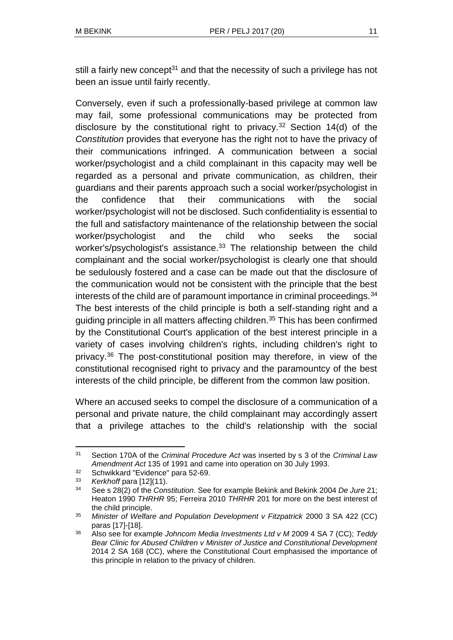still a fairly new concept<sup>31</sup> and that the necessity of such a privilege has not been an issue until fairly recently.

Conversely, even if such a professionally-based privilege at common law may fail, some professional communications may be protected from disclosure by the constitutional right to privacy.<sup>32</sup> Section 14(d) of the *Constitution* provides that everyone has the right not to have the privacy of their communications infringed. A communication between a social worker/psychologist and a child complainant in this capacity may well be regarded as a personal and private communication, as children, their guardians and their parents approach such a social worker/psychologist in the confidence that their communications with the social worker/psychologist will not be disclosed. Such confidentiality is essential to the full and satisfactory maintenance of the relationship between the social worker/psychologist and the child who seeks the social worker's/psychologist's assistance.<sup>33</sup> The relationship between the child complainant and the social worker/psychologist is clearly one that should be sedulously fostered and a case can be made out that the disclosure of the communication would not be consistent with the principle that the best interests of the child are of paramount importance in criminal proceedings.<sup>34</sup> The best interests of the child principle is both a self-standing right and a guiding principle in all matters affecting children.<sup>35</sup> This has been confirmed by the Constitutional Court's application of the best interest principle in a variety of cases involving children's rights, including children's right to privacy.<sup>36</sup> The post-constitutional position may therefore, in view of the constitutional recognised right to privacy and the paramountcy of the best interests of the child principle, be different from the common law position.

Where an accused seeks to compel the disclosure of a communication of a personal and private nature, the child complainant may accordingly assert that a privilege attaches to the child's relationship with the social

l <sup>31</sup> Section 170A of the *Criminal Procedure Act* was inserted by s 3 of the *Criminal Law Amendment Act* 135 of 1991 and came into operation on 30 July 1993.

 $32$  Schwikkard "Evidence" para 52-69.<br> $33$  Korkhoff para [12](11)

<sup>33</sup> *Kerkhoff* para [12](11).

<sup>34</sup> See s 28(2) of the *Constitution*. See for example Bekink and Bekink 2004 *De Jure* 21; Heaton 1990 *THRHR* 95; Ferreira 2010 *THRHR* 201 for more on the best interest of the child principle.

<sup>35</sup> *Minister of Welfare and Population Development v Fitzpatrick* 2000 3 SA 422 (CC) paras [17]-[18].

<sup>36</sup> Also see for example *Johncom Media Investments Ltd v M* 2009 4 SA 7 (CC); *Teddy Bear Clinic for Abused Children v Minister of Justice and Constitutional Development*  2014 2 SA 168 (CC), where the Constitutional Court emphasised the importance of this principle in relation to the privacy of children.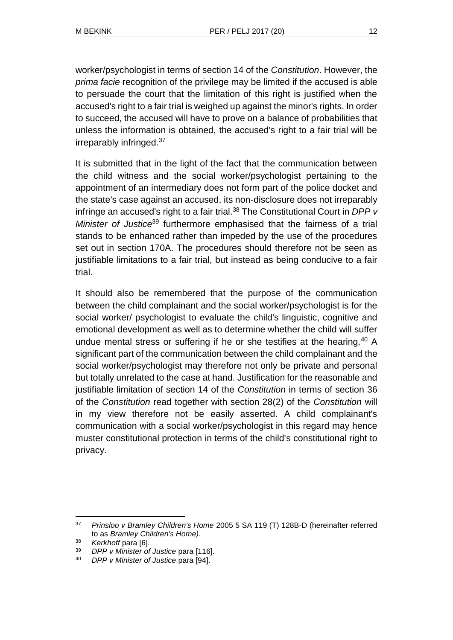worker/psychologist in terms of section 14 of the *Constitution*. However, the *prima facie* recognition of the privilege may be limited if the accused is able to persuade the court that the limitation of this right is justified when the accused's right to a fair trial is weighed up against the minor's rights. In order to succeed, the accused will have to prove on a balance of probabilities that unless the information is obtained, the accused's right to a fair trial will be irreparably infringed.<sup>37</sup>

It is submitted that in the light of the fact that the communication between the child witness and the social worker/psychologist pertaining to the appointment of an intermediary does not form part of the police docket and the state's case against an accused, its non-disclosure does not irreparably infringe an accused's right to a fair trial.<sup>38</sup> The Constitutional Court in *DPP v Minister of Justice*<sup>39</sup> furthermore emphasised that the fairness of a trial stands to be enhanced rather than impeded by the use of the procedures set out in section 170A. The procedures should therefore not be seen as justifiable limitations to a fair trial, but instead as being conducive to a fair trial.

It should also be remembered that the purpose of the communication between the child complainant and the social worker/psychologist is for the social worker/ psychologist to evaluate the child's linguistic, cognitive and emotional development as well as to determine whether the child will suffer undue mental stress or suffering if he or she testifies at the hearing.<sup>40</sup> A significant part of the communication between the child complainant and the social worker/psychologist may therefore not only be private and personal but totally unrelated to the case at hand. Justification for the reasonable and justifiable limitation of section 14 of the *Constitution* in terms of section 36 of the *Constitution* read together with section 28(2) of the *Constitution* will in my view therefore not be easily asserted. A child complainant's communication with a social worker/psychologist in this regard may hence muster constitutional protection in terms of the child's constitutional right to privacy.

l <sup>37</sup> *Prinsloo v Bramley Children's Home* 2005 5 SA 119 (T) 128B-D (hereinafter referred to as *Bramley Children's Home)*.

<sup>38</sup> *Kerkhoff* para [6].

<sup>39</sup> *DPP v Minister of Justice* para [116].

<sup>40</sup> *DPP v Minister of Justice* para [94].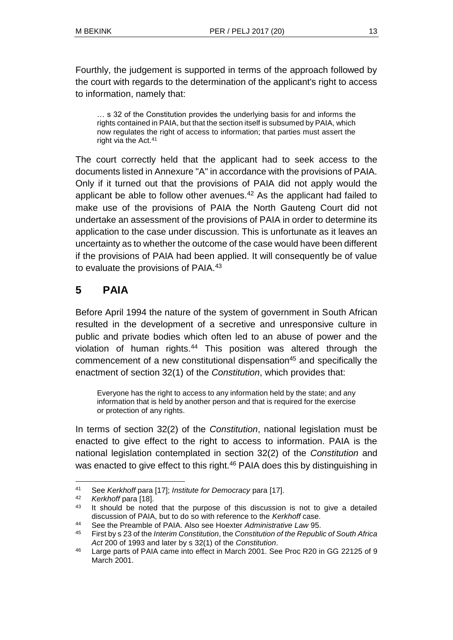Fourthly, the judgement is supported in terms of the approach followed by the court with regards to the determination of the applicant's right to access to information, namely that:

… s 32 of the Constitution provides the underlying basis for and informs the rights contained in PAIA, but that the section itself is subsumed by PAIA, which now regulates the right of access to information; that parties must assert the right via the Act.<sup>41</sup>

The court correctly held that the applicant had to seek access to the documents listed in Annexure "A" in accordance with the provisions of PAIA. Only if it turned out that the provisions of PAIA did not apply would the applicant be able to follow other avenues.<sup>42</sup> As the applicant had failed to make use of the provisions of PAIA the North Gauteng Court did not undertake an assessment of the provisions of PAIA in order to determine its application to the case under discussion. This is unfortunate as it leaves an uncertainty as to whether the outcome of the case would have been different if the provisions of PAIA had been applied. It will consequently be of value to evaluate the provisions of PAIA.<sup>43</sup>

# **5 PAIA**

Before April 1994 the nature of the system of government in South African resulted in the development of a secretive and unresponsive culture in public and private bodies which often led to an abuse of power and the violation of human rights.<sup>44</sup> This position was altered through the commencement of a new constitutional dispensation<sup>45</sup> and specifically the enactment of section 32(1) of the *Constitution*, which provides that:

Everyone has the right to access to any information held by the state; and any information that is held by another person and that is required for the exercise or protection of any rights.

In terms of section 32(2) of the *Constitution*, national legislation must be enacted to give effect to the right to access to information. PAIA is the national legislation contemplated in section 32(2) of the *Constitution* and was enacted to give effect to this right.<sup>46</sup> PAIA does this by distinguishing in

l <sup>41</sup> See *Kerkhoff* para [17]; *Institute for Democracy* para [17].

<sup>42</sup> *Kerkhoff* para [18].

 $43$  It should be noted that the purpose of this discussion is not to give a detailed discussion of PAIA, but to do so with reference to the *Kerkhoff* case.

<sup>44</sup> See the Preamble of PAIA. Also see Hoexter *Administrative Law* 95.

<sup>45</sup> First by s 23 of the *Interim Constitution*, the *Constitution of the Republic of South Africa Act* 200 of 1993 and later by s 32(1) of the *Constitution*.

<sup>46</sup> Large parts of PAIA came into effect in March 2001. See Proc R20 in GG 22125 of 9 March 2001.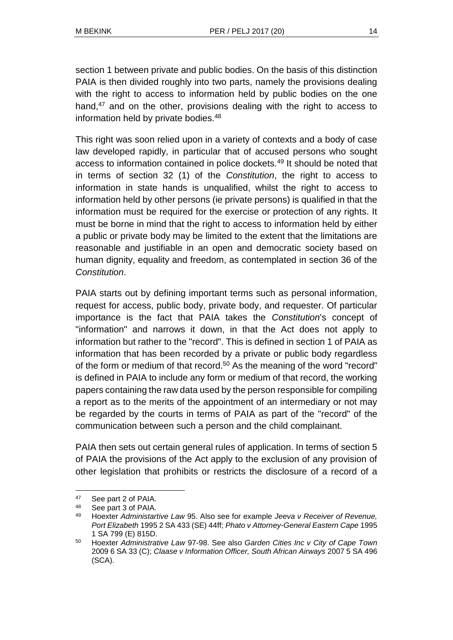section 1 between private and public bodies. On the basis of this distinction PAIA is then divided roughly into two parts, namely the provisions dealing with the right to access to information held by public bodies on the one hand,<sup>47</sup> and on the other, provisions dealing with the right to access to information held by private bodies.<sup>48</sup>

This right was soon relied upon in a variety of contexts and a body of case law developed rapidly, in particular that of accused persons who sought access to information contained in police dockets.<sup>49</sup> It should be noted that in terms of section 32 (1) of the *Constitution*, the right to access to information in state hands is unqualified, whilst the right to access to information held by other persons (ie private persons) is qualified in that the information must be required for the exercise or protection of any rights. It must be borne in mind that the right to access to information held by either a public or private body may be limited to the extent that the limitations are reasonable and justifiable in an open and democratic society based on human dignity, equality and freedom, as contemplated in section 36 of the *Constitution*.

PAIA starts out by defining important terms such as personal information, request for access, public body, private body, and requester. Of particular importance is the fact that PAIA takes the *Constitution*'s concept of "information" and narrows it down, in that the Act does not apply to information but rather to the "record". This is defined in section 1 of PAIA as information that has been recorded by a private or public body regardless of the form or medium of that record.<sup>50</sup> As the meaning of the word "record" is defined in PAIA to include any form or medium of that record, the working papers containing the raw data used by the person responsible for compiling a report as to the merits of the appointment of an intermediary or not may be regarded by the courts in terms of PAIA as part of the "record" of the communication between such a person and the child complainant.

PAIA then sets out certain general rules of application. In terms of section 5 of PAIA the provisions of the Act apply to the exclusion of any provision of other legislation that prohibits or restricts the disclosure of a record of a

<sup>47</sup> See part 2 of PAIA.

<sup>48</sup> See part 3 of PAIA.

<sup>49</sup> Hoexter *Administartive Law* 95. Also see for example *Jeeva v Receiver of Revenue, Port Elizabeth* 1995 2 SA 433 (SE) 44ff; *Phato v Attorney-General Eastern Cape* 1995 1 SA 799 (E) 815D.

<sup>50</sup> Hoexter *Administrative Law* 97-98. See also *Garden Cities Inc v City of Cape Town*  2009 6 SA 33 (C); *Claase v Information Officer, South African Airways* 2007 5 SA 496 (SCA).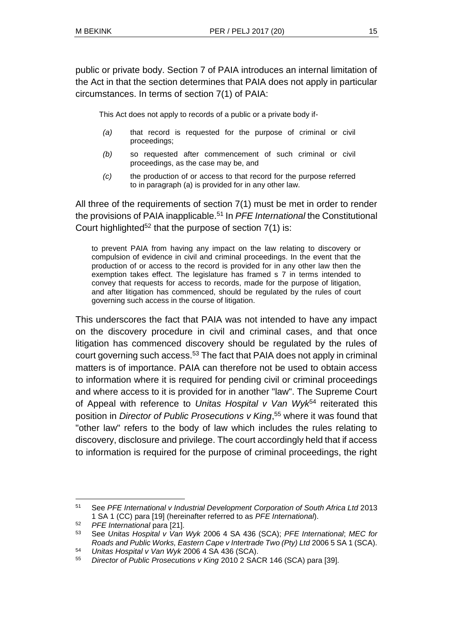public or private body. Section 7 of PAIA introduces an internal limitation of the Act in that the section determines that PAIA does not apply in particular circumstances. In terms of section 7(1) of PAIA:

This Act does not apply to records of a public or a private body if-

- *(a)* that record is requested for the purpose of criminal or civil proceedings;
- *(b)* so requested after commencement of such criminal or civil proceedings, as the case may be, and
- *(c)* the production of or access to that record for the purpose referred to in paragraph (a) is provided for in any other law.

All three of the requirements of section 7(1) must be met in order to render the provisions of PAIA inapplicable.<sup>51</sup> In *PFE International* the Constitutional Court highlighted<sup>52</sup> that the purpose of section  $7(1)$  is:

to prevent PAIA from having any impact on the law relating to discovery or compulsion of evidence in civil and criminal proceedings. In the event that the production of or access to the record is provided for in any other law then the exemption takes effect. The legislature has framed s 7 in terms intended to convey that requests for access to records, made for the purpose of litigation, and after litigation has commenced, should be regulated by the rules of court governing such access in the course of litigation.

This underscores the fact that PAIA was not intended to have any impact on the discovery procedure in civil and criminal cases, and that once litigation has commenced discovery should be regulated by the rules of court governing such access.<sup>53</sup> The fact that PAIA does not apply in criminal matters is of importance. PAIA can therefore not be used to obtain access to information where it is required for pending civil or criminal proceedings and where access to it is provided for in another "law". The Supreme Court of Appeal with reference to *Unitas Hospital v Van Wyk*<sup>54</sup> reiterated this position in *Director of Public Prosecutions v King*, <sup>55</sup> where it was found that "other law" refers to the body of law which includes the rules relating to discovery, disclosure and privilege. The court accordingly held that if access to information is required for the purpose of criminal proceedings, the right

<sup>51</sup> See *PFE International v Industrial Development Corporation of South Africa Ltd* 2013 1 SA 1 (CC) para [19] (hereinafter referred to as *PFE International*).

<sup>52</sup> *PFE International* para [21].

<sup>53</sup> See *Unitas Hospital v Van Wyk* 2006 4 SA 436 (SCA); *PFE International*; *MEC for Roads and Public Works, Eastern Cape v Intertrade Two (Pty) Ltd* 2006 5 SA 1 (SCA).

<sup>54</sup> *Unitas Hospital v Van Wyk* 2006 4 SA 436 (SCA).

<sup>55</sup> *Director of Public Prosecutions v King* 2010 2 SACR 146 (SCA) para [39].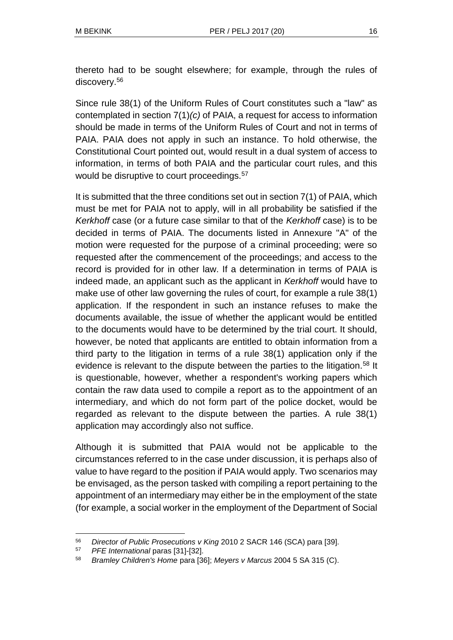thereto had to be sought elsewhere; for example, through the rules of discovery.<sup>56</sup>

Since rule 38(1) of the Uniform Rules of Court constitutes such a "law" as contemplated in section 7(1)*(c)* of PAIA, a request for access to information should be made in terms of the Uniform Rules of Court and not in terms of PAIA. PAIA does not apply in such an instance. To hold otherwise, the Constitutional Court pointed out, would result in a dual system of access to information, in terms of both PAIA and the particular court rules, and this would be disruptive to court proceedings.<sup>57</sup>

It is submitted that the three conditions set out in section 7(1) of PAIA, which must be met for PAIA not to apply, will in all probability be satisfied if the *Kerkhoff* case (or a future case similar to that of the *Kerkhoff* case) is to be decided in terms of PAIA. The documents listed in Annexure "A" of the motion were requested for the purpose of a criminal proceeding; were so requested after the commencement of the proceedings; and access to the record is provided for in other law. If a determination in terms of PAIA is indeed made, an applicant such as the applicant in *Kerkhoff* would have to make use of other law governing the rules of court, for example a rule 38(1) application. If the respondent in such an instance refuses to make the documents available, the issue of whether the applicant would be entitled to the documents would have to be determined by the trial court. It should, however, be noted that applicants are entitled to obtain information from a third party to the litigation in terms of a rule 38(1) application only if the evidence is relevant to the dispute between the parties to the litigation.<sup>58</sup> It is questionable, however, whether a respondent's working papers which contain the raw data used to compile a report as to the appointment of an intermediary, and which do not form part of the police docket, would be regarded as relevant to the dispute between the parties. A rule 38(1) application may accordingly also not suffice.

Although it is submitted that PAIA would not be applicable to the circumstances referred to in the case under discussion, it is perhaps also of value to have regard to the position if PAIA would apply. Two scenarios may be envisaged, as the person tasked with compiling a report pertaining to the appointment of an intermediary may either be in the employment of the state (for example, a social worker in the employment of the Department of Social

l <sup>56</sup> *Director of Public Prosecutions v King* 2010 2 SACR 146 (SCA) para [39].

<sup>57</sup> *PFE International* paras [31]-[32].

<sup>58</sup> *Bramley Children's Home* para [36]; *Meyers v Marcus* 2004 5 SA 315 (C).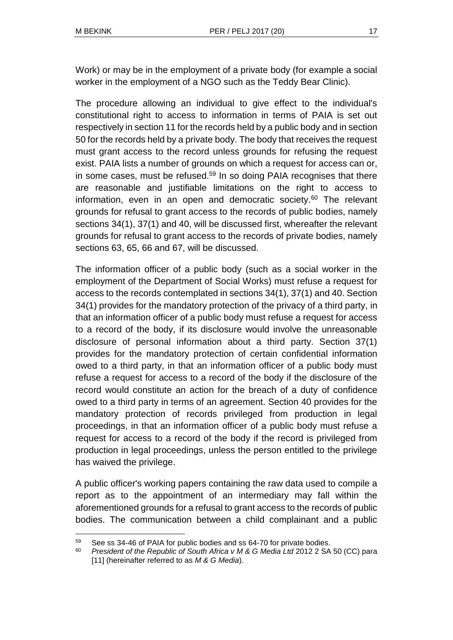Work) or may be in the employment of a private body (for example a social worker in the employment of a NGO such as the Teddy Bear Clinic).

The procedure allowing an individual to give effect to the individual's constitutional right to access to information in terms of PAIA is set out respectively in section 11 for the records held by a public body and in section 50 for the records held by a private body. The body that receives the request must grant access to the record unless grounds for refusing the request exist. PAIA lists a number of grounds on which a request for access can or, in some cases, must be refused.<sup>59</sup> In so doing PAIA recognises that there are reasonable and justifiable limitations on the right to access to information, even in an open and democratic society.<sup>60</sup> The relevant grounds for refusal to grant access to the records of public bodies, namely sections 34(1), 37(1) and 40, will be discussed first, whereafter the relevant grounds for refusal to grant access to the records of private bodies, namely sections 63, 65, 66 and 67, will be discussed.

The information officer of a public body (such as a social worker in the employment of the Department of Social Works) must refuse a request for access to the records contemplated in sections 34(1), 37(1) and 40. Section 34(1) provides for the mandatory protection of the privacy of a third party, in that an information officer of a public body must refuse a request for access to a record of the body, if its disclosure would involve the unreasonable disclosure of personal information about a third party. Section 37(1) provides for the mandatory protection of certain confidential information owed to a third party, in that an information officer of a public body must refuse a request for access to a record of the body if the disclosure of the record would constitute an action for the breach of a duty of confidence owed to a third party in terms of an agreement. Section 40 provides for the mandatory protection of records privileged from production in legal proceedings, in that an information officer of a public body must refuse a request for access to a record of the body if the record is privileged from production in legal proceedings, unless the person entitled to the privilege has waived the privilege.

A public officer's working papers containing the raw data used to compile a report as to the appointment of an intermediary may fall within the aforementioned grounds for a refusal to grant access to the records of public bodies. The communication between a child complainant and a public

 $\overline{a}$ 59 See ss 34-46 of PAIA for public bodies and ss 64-70 for private bodies.

<sup>&</sup>lt;sup>60</sup> President of the Republic of South Africa v M & G Media Ltd 2012 2 SA 50 (CC) para [11] (hereinafter referred to as *M & G Media*).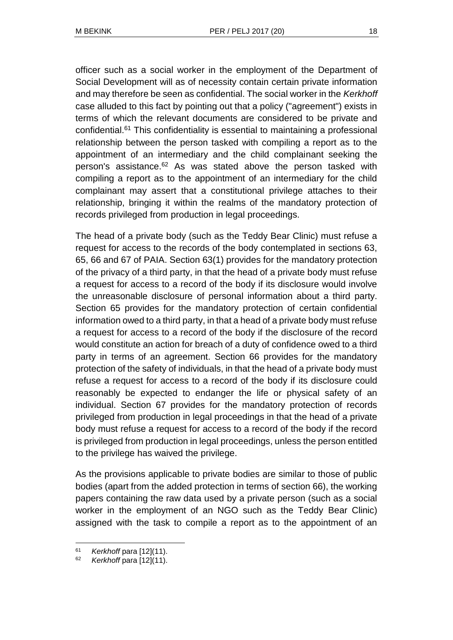officer such as a social worker in the employment of the Department of Social Development will as of necessity contain certain private information and may therefore be seen as confidential. The social worker in the *Kerkhoff* case alluded to this fact by pointing out that a policy ("agreement") exists in terms of which the relevant documents are considered to be private and confidential.<sup>61</sup> This confidentiality is essential to maintaining a professional relationship between the person tasked with compiling a report as to the appointment of an intermediary and the child complainant seeking the person's assistance.<sup>62</sup> As was stated above the person tasked with compiling a report as to the appointment of an intermediary for the child complainant may assert that a constitutional privilege attaches to their relationship, bringing it within the realms of the mandatory protection of records privileged from production in legal proceedings.

The head of a private body (such as the Teddy Bear Clinic) must refuse a request for access to the records of the body contemplated in sections 63, 65, 66 and 67 of PAIA. Section 63(1) provides for the mandatory protection of the privacy of a third party, in that the head of a private body must refuse a request for access to a record of the body if its disclosure would involve the unreasonable disclosure of personal information about a third party. Section 65 provides for the mandatory protection of certain confidential information owed to a third party, in that a head of a private body must refuse a request for access to a record of the body if the disclosure of the record would constitute an action for breach of a duty of confidence owed to a third party in terms of an agreement. Section 66 provides for the mandatory protection of the safety of individuals, in that the head of a private body must refuse a request for access to a record of the body if its disclosure could reasonably be expected to endanger the life or physical safety of an individual. Section 67 provides for the mandatory protection of records privileged from production in legal proceedings in that the head of a private body must refuse a request for access to a record of the body if the record is privileged from production in legal proceedings, unless the person entitled to the privilege has waived the privilege.

As the provisions applicable to private bodies are similar to those of public bodies (apart from the added protection in terms of section 66), the working papers containing the raw data used by a private person (such as a social worker in the employment of an NGO such as the Teddy Bear Clinic) assigned with the task to compile a report as to the appointment of an

<sup>61</sup> *Kerkhoff* para [12](11).

<sup>62</sup> *Kerkhoff* para [12](11).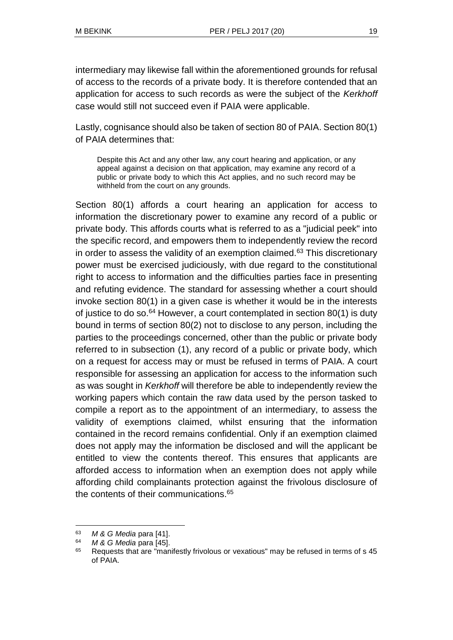intermediary may likewise fall within the aforementioned grounds for refusal of access to the records of a private body. It is therefore contended that an application for access to such records as were the subject of the *Kerkhoff* case would still not succeed even if PAIA were applicable.

Lastly, cognisance should also be taken of section 80 of PAIA. Section 80(1) of PAIA determines that:

Despite this Act and any other law, any court hearing and application, or any appeal against a decision on that application, may examine any record of a public or private body to which this Act applies, and no such record may be withheld from the court on any grounds.

Section 80(1) affords a court hearing an application for access to information the discretionary power to examine any record of a public or private body. This affords courts what is referred to as a "judicial peek" into the specific record, and empowers them to independently review the record in order to assess the validity of an exemption claimed. $63$  This discretionary power must be exercised judiciously, with due regard to the constitutional right to access to information and the difficulties parties face in presenting and refuting evidence. The standard for assessing whether a court should invoke section 80(1) in a given case is whether it would be in the interests of justice to do so. $64$  However, a court contemplated in section 80(1) is duty bound in terms of section 80(2) not to disclose to any person, including the parties to the proceedings concerned, other than the public or private body referred to in subsection (1), any record of a public or private body, which on a request for access may or must be refused in terms of PAIA. A court responsible for assessing an application for access to the information such as was sought in *Kerkhoff* will therefore be able to independently review the working papers which contain the raw data used by the person tasked to compile a report as to the appointment of an intermediary, to assess the validity of exemptions claimed, whilst ensuring that the information contained in the record remains confidential. Only if an exemption claimed does not apply may the information be disclosed and will the applicant be entitled to view the contents thereof. This ensures that applicants are afforded access to information when an exemption does not apply while affording child complainants protection against the frivolous disclosure of the contents of their communications.<sup>65</sup>

<sup>63</sup> *M & G Media* para [41].

<sup>64</sup> *M & G Media* para [45].

<sup>&</sup>lt;sup>65</sup> Requests that are "manifestly frivolous or vexatious" may be refused in terms of s 45 of PAIA.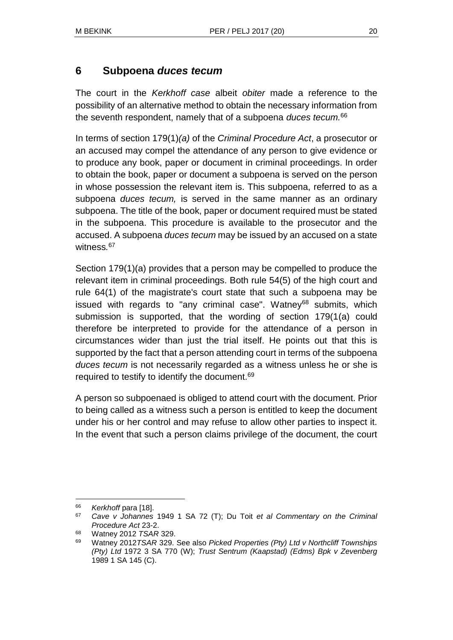## **6 Subpoena** *duces tecum*

The court in the *Kerkhoff case* albeit *obiter* made a reference to the possibility of an alternative method to obtain the necessary information from the seventh respondent, namely that of a subpoena *duces tecum.*<sup>66</sup>

In terms of section 179(1)*(a)* of the *Criminal Procedure Act*, a prosecutor or an accused may compel the attendance of any person to give evidence or to produce any book, paper or document in criminal proceedings. In order to obtain the book, paper or document a subpoena is served on the person in whose possession the relevant item is. This subpoena, referred to as a subpoena *duces tecum,* is served in the same manner as an ordinary subpoena. The title of the book, paper or document required must be stated in the subpoena. This procedure is available to the prosecutor and the accused. A subpoena *duces tecum* may be issued by an accused on a state witness*.* 67

Section 179(1)(a) provides that a person may be compelled to produce the relevant item in criminal proceedings. Both rule 54(5) of the high court and rule 64(1) of the magistrate's court state that such a subpoena may be issued with regards to "any criminal case". Watney $68$  submits, which submission is supported, that the wording of section 179(1(a) could therefore be interpreted to provide for the attendance of a person in circumstances wider than just the trial itself. He points out that this is supported by the fact that a person attending court in terms of the subpoena *duces tecum* is not necessarily regarded as a witness unless he or she is required to testify to identify the document.<sup>69</sup>

A person so subpoenaed is obliged to attend court with the document. Prior to being called as a witness such a person is entitled to keep the document under his or her control and may refuse to allow other parties to inspect it. In the event that such a person claims privilege of the document, the court

<sup>66</sup> *Kerkhoff* para [18].

<sup>67</sup> *Cave v Johannes* 1949 1 SA 72 (T); Du Toit *et al Commentary on the Criminal Procedure Act* 23-2.

<sup>68</sup> Watney 2012 *TSAR* 329.

<sup>69</sup> Watney 2012*TSAR* 329. See also *Picked Properties (Pty) Ltd v Northcliff Townships (Pty) Ltd* 1972 3 SA 770 (W); *Trust Sentrum (Kaapstad) (Edms) Bpk v Zevenberg* 1989 1 SA 145 (C).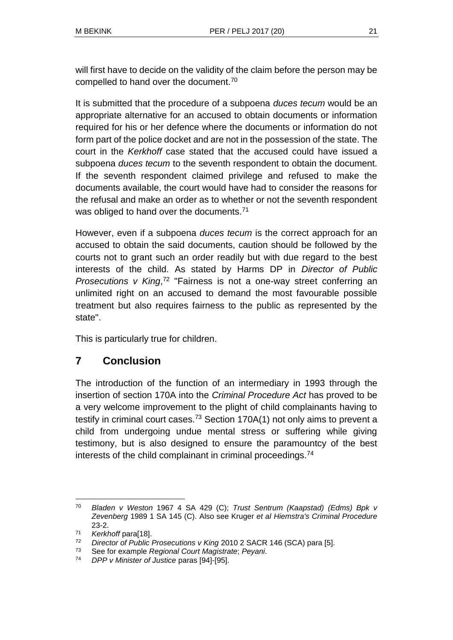will first have to decide on the validity of the claim before the person may be compelled to hand over the document.<sup>70</sup>

It is submitted that the procedure of a subpoena *duces tecum* would be an appropriate alternative for an accused to obtain documents or information required for his or her defence where the documents or information do not form part of the police docket and are not in the possession of the state. The court in the *Kerkhoff* case stated that the accused could have issued a subpoena *duces tecum* to the seventh respondent to obtain the document. If the seventh respondent claimed privilege and refused to make the documents available, the court would have had to consider the reasons for the refusal and make an order as to whether or not the seventh respondent was obliged to hand over the documents.<sup>71</sup>

However, even if a subpoena *duces tecum* is the correct approach for an accused to obtain the said documents, caution should be followed by the courts not to grant such an order readily but with due regard to the best interests of the child. As stated by Harms DP in *Director of Public Prosecutions v King*,<sup>72</sup> "Fairness is not a one-way street conferring an unlimited right on an accused to demand the most favourable possible treatment but also requires fairness to the public as represented by the state".

This is particularly true for children.

## **7 Conclusion**

The introduction of the function of an intermediary in 1993 through the insertion of section 170A into the *Criminal Procedure Act* has proved to be a very welcome improvement to the plight of child complainants having to testify in criminal court cases.<sup>73</sup> Section 170A(1) not only aims to prevent a child from undergoing undue mental stress or suffering while giving testimony, but is also designed to ensure the paramountcy of the best interests of the child complainant in criminal proceedings.<sup>74</sup>

l <sup>70</sup> *Bladen v Weston* 1967 4 SA 429 (C); *Trust Sentrum (Kaapstad) (Edms) Bpk v Zevenberg* 1989 1 SA 145 (C). Also see Kruger *et al Hiemstra's Criminal Procedure* 23-2.

<sup>71</sup> *Kerkhoff* para[18].

<sup>72</sup> *Director of Public Prosecutions v King* 2010 2 SACR 146 (SCA) para [5].

<sup>73</sup> See for example *Regional Court Magistrate*; *Peyani*.

<sup>74</sup> *DPP v Minister of Justice* paras [94]-[95].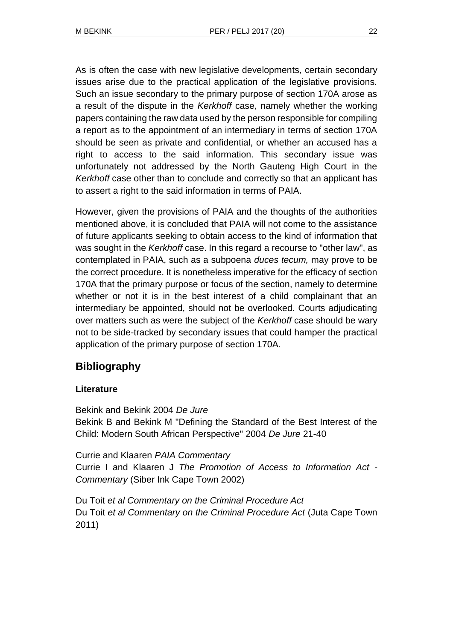As is often the case with new legislative developments, certain secondary issues arise due to the practical application of the legislative provisions. Such an issue secondary to the primary purpose of section 170A arose as a result of the dispute in the *Kerkhoff* case, namely whether the working papers containing the raw data used by the person responsible for compiling a report as to the appointment of an intermediary in terms of section 170A should be seen as private and confidential, or whether an accused has a right to access to the said information. This secondary issue was unfortunately not addressed by the North Gauteng High Court in the *Kerkhoff* case other than to conclude and correctly so that an applicant has to assert a right to the said information in terms of PAIA.

However, given the provisions of PAIA and the thoughts of the authorities mentioned above, it is concluded that PAIA will not come to the assistance of future applicants seeking to obtain access to the kind of information that was sought in the *Kerkhoff* case. In this regard a recourse to "other law", as contemplated in PAIA, such as a subpoena *duces tecum,* may prove to be the correct procedure. It is nonetheless imperative for the efficacy of section 170A that the primary purpose or focus of the section, namely to determine whether or not it is in the best interest of a child complainant that an intermediary be appointed, should not be overlooked. Courts adjudicating over matters such as were the subject of the *Kerkhoff* case should be wary not to be side-tracked by secondary issues that could hamper the practical application of the primary purpose of section 170A.

# **Bibliography**

#### **Literature**

Bekink and Bekink 2004 *De Jure* Bekink B and Bekink M "Defining the Standard of the Best Interest of the Child: Modern South African Perspective" 2004 *De Jure* 21-40

Currie and Klaaren *PAIA Commentary*  Currie I and Klaaren J *The Promotion of Access to Information Act - Commentary* (Siber Ink Cape Town 2002)

Du Toit *et al Commentary on the Criminal Procedure Act* Du Toit *et al Commentary on the Criminal Procedure Act* (Juta Cape Town 2011)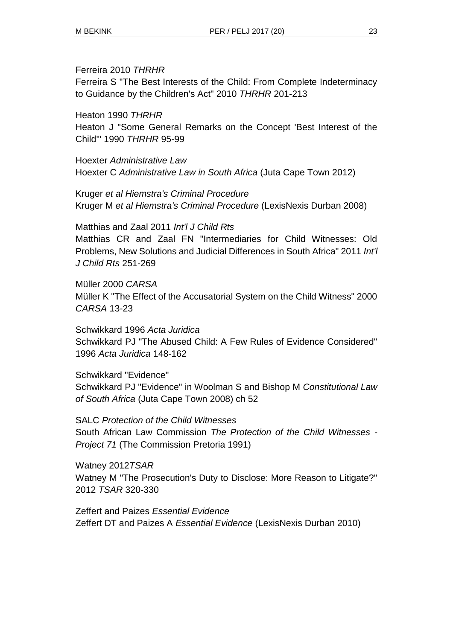#### Ferreira 2010 *THRHR*

Ferreira S "The Best Interests of the Child: From Complete Indeterminacy to Guidance by the Children's Act" 2010 *THRHR* 201-213

Heaton 1990 *THRHR*

Heaton J "Some General Remarks on the Concept 'Best Interest of the Child'" 1990 *THRHR* 95-99

Hoexter *Administrative Law* Hoexter C *Administrative Law in South Africa* (Juta Cape Town 2012)

Kruger *et al Hiemstra's Criminal Procedure* Kruger M *et al Hiemstra's Criminal Procedure* (LexisNexis Durban 2008)

Matthias and Zaal 2011 *Int'l J Child Rts*

Matthias CR and Zaal FN "Intermediaries for Child Witnesses: Old Problems, New Solutions and Judicial Differences in South Africa" 2011 *Int'l J Child Rts* 251-269

Müller 2000 *CARSA* Müller K "The Effect of the Accusatorial System on the Child Witness" 2000 *CARSA* 13-23

Schwikkard 1996 *Acta Juridica* Schwikkard PJ "The Abused Child: A Few Rules of Evidence Considered" 1996 *Acta Juridica* 148-162

Schwikkard "Evidence" Schwikkard PJ "Evidence" in Woolman S and Bishop M *Constitutional Law of South Africa* (Juta Cape Town 2008) ch 52

SALC *Protection of the Child Witnesses* South African Law Commission *The Protection of the Child Witnesses - Project 71* (The Commission Pretoria 1991)

Watney 2012*TSAR* Watney M "The Prosecution's Duty to Disclose: More Reason to Litigate?" 2012 *TSAR* 320-330

Zeffert and Paizes *Essential Evidence* Zeffert DT and Paizes A *Essential Evidence* (LexisNexis Durban 2010)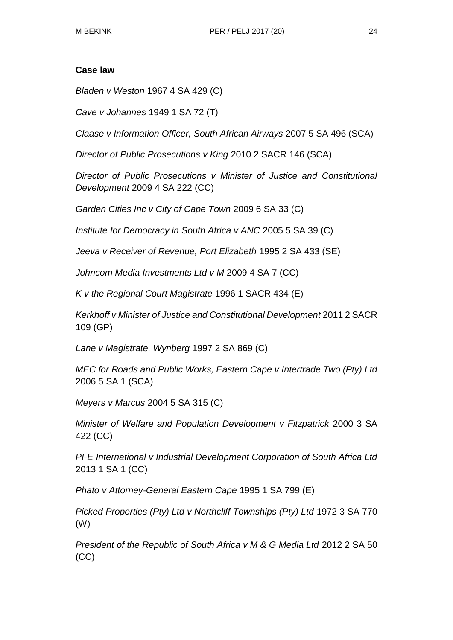#### **Case law**

*Bladen v Weston* 1967 4 SA 429 (C)

*Cave v Johannes* 1949 1 SA 72 (T)

*Claase v Information Officer, South African Airways* 2007 5 SA 496 (SCA)

*Director of Public Prosecutions v King* 2010 2 SACR 146 (SCA)

*Director of Public Prosecutions v Minister of Justice and Constitutional Development* 2009 4 SA 222 (CC)

*Garden Cities Inc v City of Cape Town* 2009 6 SA 33 (C)

*Institute for Democracy in South Africa v ANC* 2005 5 SA 39 (C)

*Jeeva v Receiver of Revenue, Port Elizabeth* 1995 2 SA 433 (SE)

*Johncom Media Investments Ltd v M* 2009 4 SA 7 (CC)

*K v the Regional Court Magistrate* 1996 1 SACR 434 (E)

*Kerkhoff v Minister of Justice and Constitutional Development* 2011 2 SACR 109 (GP)

*Lane v Magistrate, Wynberg* 1997 2 SA 869 (C)

*MEC for Roads and Public Works, Eastern Cape v Intertrade Two (Pty) Ltd*  2006 5 SA 1 (SCA)

*Meyers v Marcus* 2004 5 SA 315 (C)

*Minister of Welfare and Population Development v Fitzpatrick* 2000 3 SA 422 (CC)

*PFE International v Industrial Development Corporation of South Africa Ltd*  2013 1 SA 1 (CC)

*Phato v Attorney-General Eastern Cape* 1995 1 SA 799 (E)

*Picked Properties (Pty) Ltd v Northcliff Townships (Pty) Ltd* 1972 3 SA 770 (W)

*President of the Republic of South Africa v M & G Media Ltd 2012 2 SA 50* (CC)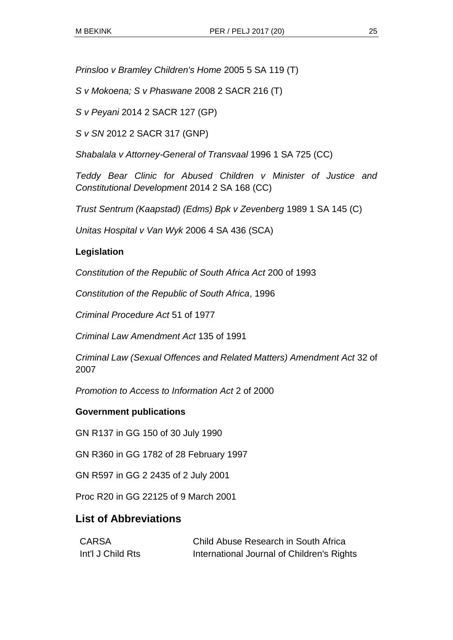*Prinsloo v Bramley Children's Home* 2005 5 SA 119 (T)

*S v Mokoena; S v Phaswane* 2008 2 SACR 216 (T)

*S v Peyani* 2014 2 SACR 127 (GP)

*S v SN* 2012 2 SACR 317 (GNP)

*Shabalala v Attorney-General of Transvaal* 1996 1 SA 725 (CC)

*Teddy Bear Clinic for Abused Children v Minister of Justice and Constitutional Development* 2014 2 SA 168 (CC)

*Trust Sentrum (Kaapstad) (Edms) Bpk v Zevenberg* 1989 1 SA 145 (C)

*Unitas Hospital v Van Wyk* 2006 4 SA 436 (SCA)

### **Legislation**

*Constitution of the Republic of South Africa Act* 200 of 1993

*Constitution of the Republic of South Africa*, 1996

*Criminal Procedure Act* 51 of 1977

*Criminal Law Amendment Act* 135 of 1991

*Criminal Law (Sexual Offences and Related Matters) Amendment Act* 32 of 2007

*Promotion to Access to Information Act* 2 of 2000

### **Government publications**

GN R137 in GG 150 of 30 July 1990

GN R360 in GG 1782 of 28 February 1997

GN R597 in GG 2 2435 of 2 July 2001

Proc R20 in GG 22125 of 9 March 2001

## **List of Abbreviations**

| CARSA             | Child Abuse Research in South Africa       |
|-------------------|--------------------------------------------|
| Int'l J Child Rts | International Journal of Children's Rights |